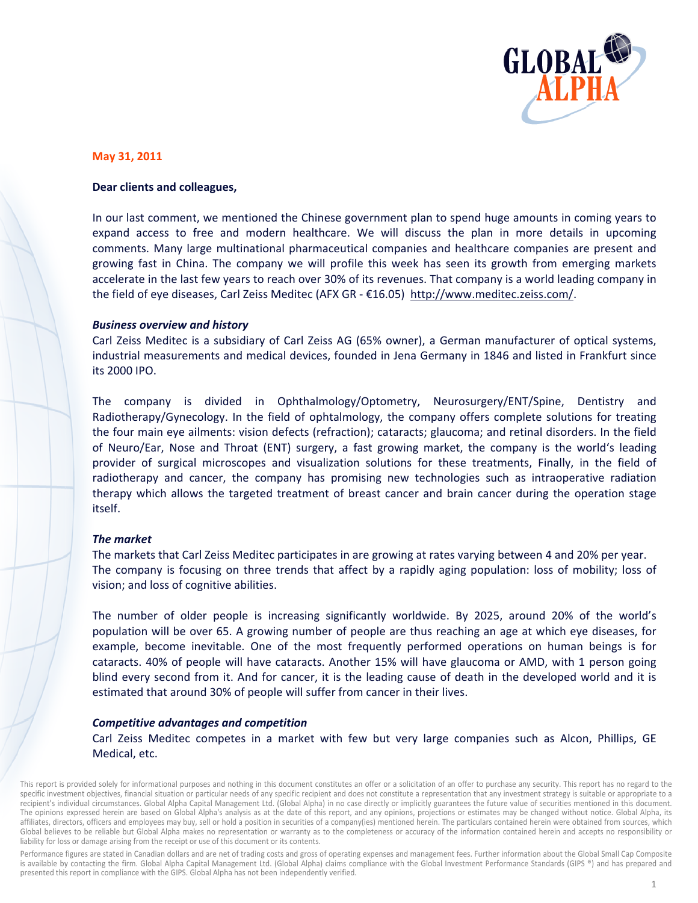

### May 31, 2011

# Dear clients and colleagues,

In our last comment, we mentioned the Chinese government plan to spend huge amounts in coming years to expand access to free and modern healthcare. We will discuss the plan in more details in upcoming comments. Many large multinational pharmaceutical companies and healthcare companies are present and growing fast in China. The company we will profile this week has seen its growth from emerging markets accelerate in the last few years to reach over 30% of its revenues. That company is a world leading company in the field of eye diseases, Carl Zeiss Meditec (AFX GR - €16.05) http://www.meditec.zeiss.com/.

#### **Business overview and history**

Carl Zeiss Meditec is a subsidiary of Carl Zeiss AG (65% owner), a German manufacturer of optical systems, industrial measurements and medical devices, founded in Jena Germany in 1846 and listed in Frankfurt since its 2000 IPO.

The company is divided in Ophthalmology/Optometry, Neurosurgery/ENT/Spine, Dentistry and Radiotherapy/Gynecology. In the field of ophtalmology, the company offers complete solutions for treating the four main eye ailments: vision defects (refraction); cataracts; glaucoma; and retinal disorders. In the field of Neuro/Ear, Nose and Throat (ENT) surgery, a fast growing market, the company is the world's leading provider of surgical microscopes and visualization solutions for these treatments, Finally, in the field of radiotherapy and cancer, the company has promising new technologies such as intraoperative radiation therapy which allows the targeted treatment of breast cancer and brain cancer during the operation stage itself.

# **The market**

The markets that Carl Zeiss Meditec participates in are growing at rates varying between 4 and 20% per year. The company is focusing on three trends that affect by a rapidly aging population: loss of mobility; loss of vision; and loss of cognitive abilities.

The number of older people is increasing significantly worldwide. By 2025, around 20% of the world's population will be over 65. A growing number of people are thus reaching an age at which eye diseases, for example, become inevitable. One of the most frequently performed operations on human beings is for cataracts. 40% of people will have cataracts. Another 15% will have glaucoma or AMD, with 1 person going blind every second from it. And for cancer, it is the leading cause of death in the developed world and it is estimated that around 30% of people will suffer from cancer in their lives.

### **Competitive advantages and competition**

Carl Zeiss Meditec competes in a market with few but very large companies such as Alcon, Phillips, GE Medical, etc.

Performance figures are stated in Canadian dollars and are net of trading costs and gross of operating expenses and management fees. Further information about the Global Small Cap Composite is available by contacting the firm. Global Alpha Capital Management Ltd. (Global Alpha) claims compliance with the Global Investment Performance Standards (GIPS ®) and has prepared and presented this report in compliance with the GIPS. Global Alpha has not been independently verified.

This report is provided solely for informational purposes and nothing in this document constitutes an offer or a solicitation of an offer to purchase any security. This report has no regard to the specific investment objectives, financial situation or particular needs of any specific recipient and does not constitute a representation that any investment strategy is suitable or appropriate to a recipient's individual circumstances. Global Alpha Capital Management Ltd. (Global Alpha) in no case directly or implicitly guarantees the future value of securities mentioned in this document. The opinions expressed herein are based on Global Alpha's analysis as at the date of this report, and any opinions, projections or estimates may be changed without notice. Global Alpha, its affiliates, directors, officers and employees may buy, sell or hold a position in securities of a company(ies) mentioned herein. The particulars contained herein were obtained from sources, which Global believes to be reliable but Global Alpha makes no representation or warranty as to the completeness or accuracy of the information contained herein and accepts no responsibility or liability for loss or damage arising from the receipt or use of this document or its contents.